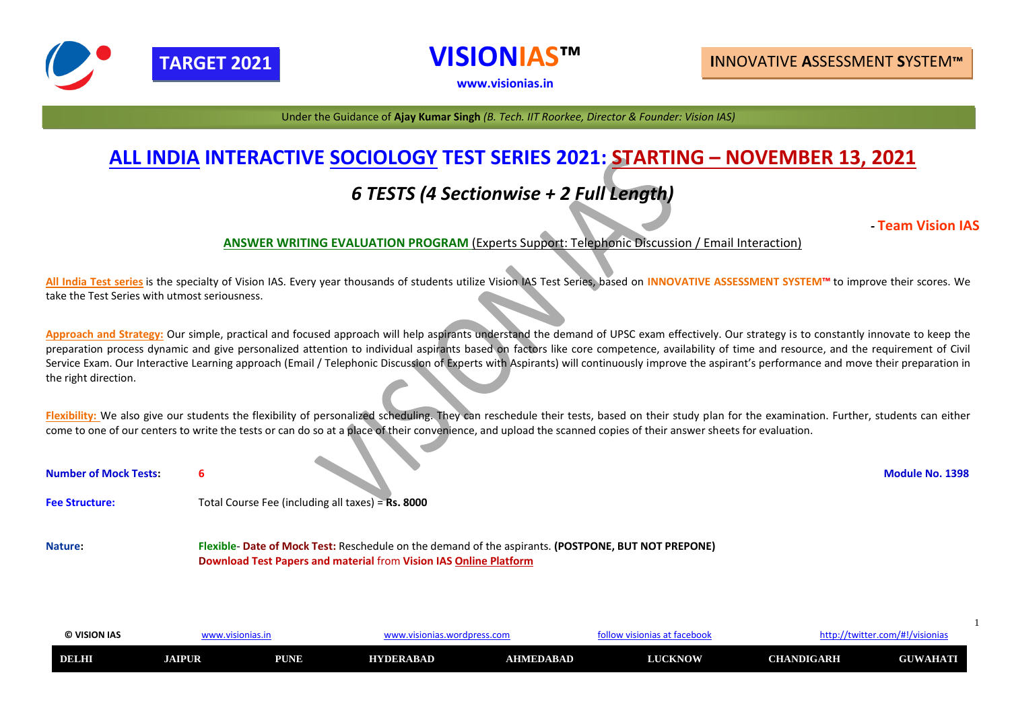| © VISION IAS | v.v           |             | ordpress.con     |                  | as at facebool<br>isioni | tter.com/#!/visionias<br><b>ILLD./</b><br>, LVVIL' |                             |
|--------------|---------------|-------------|------------------|------------------|--------------------------|----------------------------------------------------|-----------------------------|
| <b>DELHI</b> | <b>JAIPUR</b> | <b>PUNE</b> | <b>HYDERABAD</b> | <b>AHMEDABAD</b> | <b>LUCKNOW</b>           | <b>CHANDIGARH</b>                                  | WAHAT<br><b>SHILL</b><br>JU |

# **ALL INDIA INTERACTIVE SOCIOLOGY TEST SERIES 2021: STARTING – NOVEMBER 13, 2021** *6 TESTS (4 Sectionwise + 2 Full Length)*

# *-* **Team Vision IAS**

### **ANSWER WRITING EVALUATION PROGRAM** (Experts Support: Telephonic Discussion / Email Interaction)

**All India Test series** is the specialty of Vision IAS. Every year thousands of students utilize Vision IAS Test Series, based on **INNOVATIVE ASSESSMENT SYSTEM™** to improve their scores. We take the Test Series with utmost seriousness.

Approach and Strategy: Our simple, practical and focused approach will help aspirants understand the demand of UPSC exam effectively. Our strategy is to constantly innovate to keep the preparation process dynamic and give personalized attention to individual aspirants based on factors like core competence, availability of time and resource, and the requirement of Civil Service Exam. Our Interactive Learning approach (Email / Telephonic Discussion of Experts with Aspirants) will continuously improve the aspirant's performance and move their preparation in the right direction.

Flexibility: We also give our students the flexibility of personalized scheduling. They can reschedule their tests, based on their study plan for the examination. Further, students can either come to one of our centers to write the tests or can do so at a place of their convenience, and upload the scanned copies of their answer sheets for evaluation.

| <b>Number of Mock Tests:</b> |                                                                                                                                                                          | <b>Module No. 1398</b> |
|------------------------------|--------------------------------------------------------------------------------------------------------------------------------------------------------------------------|------------------------|
| <b>Fee Structure:</b>        | Total Course Fee (including all taxes) = $Rs. 8000$                                                                                                                      |                        |
| <b>Nature:</b>               | Flexible- Date of Mock Test: Reschedule on the demand of the aspirants. (POSTPONE, BUT NOT PREPONE)<br>Download Test Papers and material from Vision IAS Online Platform |                        |



**VISIONIAS™**

**[www.visionias.in](http://www.visionias.in/)**

# **TARGET 2021 I**NNOVATIVE **A**SSESSMENT **S**YSTEM**™**

Under the Guidance of **Ajay Kumar Singh** *(B. Tech. IIT Roorkee, Director & Founder: Vision IAS)*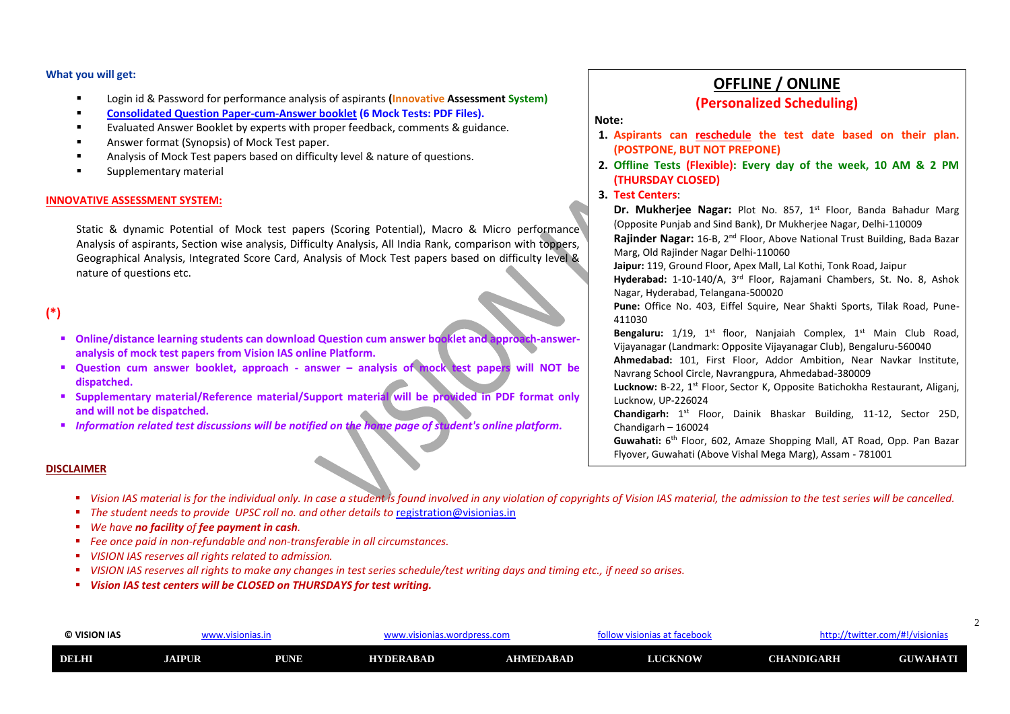| © VISION IAS | www.visionias.in |             |                  | .visionias.wordpress.com . |                | nttp://twitter.com/#!/visionias<br>, visionias at facebook<br>rollo' |                 |
|--------------|------------------|-------------|------------------|----------------------------|----------------|----------------------------------------------------------------------|-----------------|
| DELHI        | <b>AIPUR</b>     | <b>PUNE</b> | <b>HYDERABAD</b> | AHMEDABAD                  | <b>LUCKNOW</b> | <b>CHANDIGARH</b>                                                    | <b>GUWAHATI</b> |

# **OFFLINE / ONLINE (Personalized Scheduling)**

#### **Note:**

**1. Aspirants can reschedule the test date based on their plan. 2. Offline Tests (Flexible): Every day of the week, 10 AM & 2 PM**

- **(POSTPONE, BUT NOT PREPONE)**
- **(THURSDAY CLOSED)**
- **3. Test Centers**:

**Dr. Mukherjee Nagar:** Plot No. 857, 1<sup>st</sup> Floor, Banda Bahadur Marg (Opposite Punjab and Sind Bank), Dr Mukherjee Nagar, Delhi-110009 **Rajinder Nagar:** 16-B, 2nd Floor, Above National Trust Building, Bada Bazar Marg, Old Rajinder Nagar Delhi-110060 **Jaipur:** 119, Ground Floor, Apex Mall, Lal Kothi, Tonk Road, Jaipur **Hyderabad:** 1-10-140/A, 3rd Floor, Rajamani Chambers, St. No. 8, Ashok Nagar, Hyderabad, Telangana-500020 **Pune:** Office No. 403, Eiffel Squire, Near Shakti Sports, Tilak Road, Pune-411030 Bengaluru: 1/19, 1<sup>st</sup> floor, Nanjaiah Complex, 1<sup>st</sup> Main Club Road, Vijayanagar (Landmark: Opposite Vijayanagar Club), Bengaluru-560040 **Ahmedabad:** 101, First Floor, Addor Ambition, Near Navkar Institute, Navrang School Circle, Navrangpura, Ahmedabad-380009 Lucknow: B-22, 1<sup>st</sup> Floor, Sector K, Opposite Batichokha Restaurant, Aliganj, Lucknow, UP-226024 Chandigarh: 1<sup>st</sup> Floor, Dainik Bhaskar Building, 11-12, Sector 25D, Chandigarh – 160024 Guwahati: 6<sup>th</sup> Floor, 602, Amaze Shopping Mall, AT Road, Opp. Pan Bazar Flyover, Guwahati (Above Vishal Mega Marg), Assam - 781001

- Login id & Password for performance analysis of aspirants **(Innovative Assessment System)**
- **Consolidated Question Paper-cum-Answer booklet (6 Mock Tests: PDF Files).**
- Evaluated Answer Booklet by experts with proper feedback, comments & guidance.
- Answer format (Synopsis) of Mock Test paper.
- Analysis of Mock Test papers based on difficulty level & nature of questions.
- Supplementary material

- **<u>■ Online/distance learning students can download Question cum answer booklet and approach-answer-</u> analysis of mock test papers from Vision IAS online Platform.**
- **Question cum answer booklet, approach - answer – analysis of mock test papers will NOT be dispatched.**
- **Supplementary material/Reference material/Support material will be provided in PDF format only and will not be dispatched.**
- *Information related test discussions will be notified on the home page of student's online platform.*

#### **What you will get:**

- Vision IAS material is for the individual only. In case a student is found involved in any violation of copyrights of Vision IAS material, the admission to the test series will be cancelled.
- *The student needs to provide UPSC roll no. and other details to [registration@visionias.in](mailto:registration@visionias.in)*
- *We have no facility of fee payment in cash.*
- *Fee once paid in non-refundable and non-transferable in all circumstances.*
- *VISION IAS reserves all rights related to admission.*
- *VISION IAS reserves all rights to make any changes in test series schedule/test writing days and timing etc., if need so arises.*
- *Vision IAS test centers will be CLOSED on THURSDAYS for test writing.*

#### **INNOVATIVE ASSESSMENT SYSTEM:**

Static & dynamic Potential of Mock test papers (Scoring Potential), Macro & Micro performance Analysis of aspirants, Section wise analysis, Difficulty Analysis, All India Rank, comparison with toppers, Geographical Analysis, Integrated Score Card, Analysis of Mock Test papers based on difficulty level & nature of questions etc.

# **(\*)**

#### **DISCLAIMER**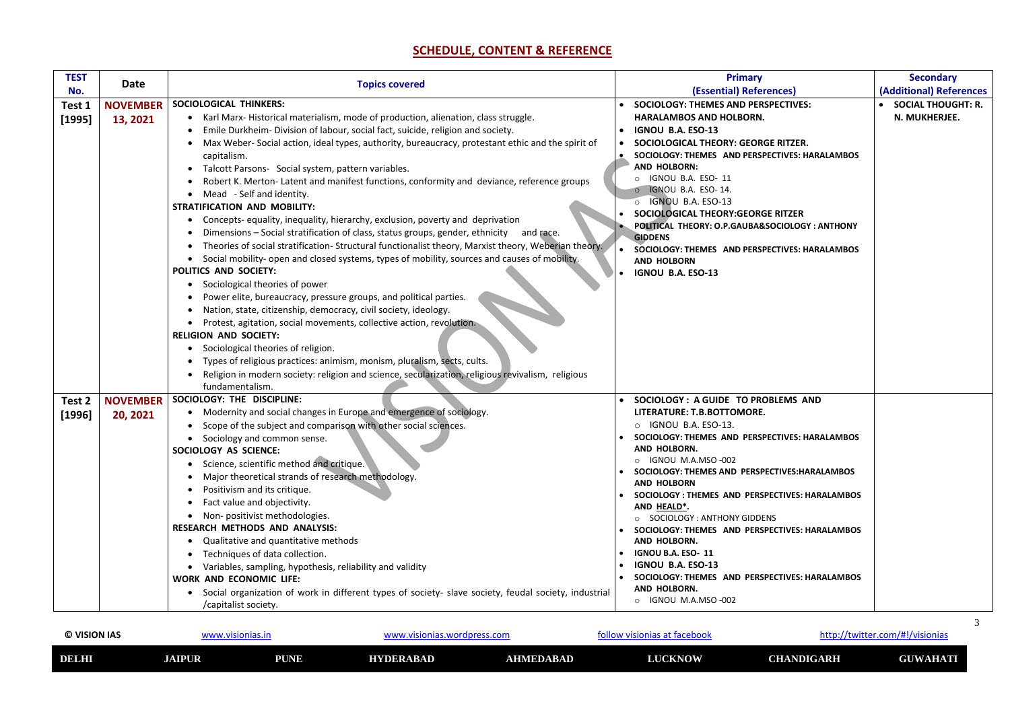| © VISION IAS | www.visionias.in |             | wordpress of<br>onias<br>v.v |                  | nias at facebool<br><b>VISION</b><br>1 L L D . / |                   | twitter.com/#!/visionias/ |
|--------------|------------------|-------------|------------------------------|------------------|--------------------------------------------------|-------------------|---------------------------|
| <b>DELHI</b> | <b>JAIPUR</b>    | <b>PUNE</b> | <b>HYDERABAD</b>             | <b>AHMEDABAD</b> | <b>LUCKNOW</b>                                   | <b>CHANDIGARH</b> | <b>GUWAHATI</b>           |

### **http://twitter.com/#!/visionias**

# **SCHEDULE, CONTENT & REFERENCE**

| <b>TEST</b> | <b>Date</b>     | <b>Topics covered</b>                                                                                  | <b>Primary</b>                                                        | <b>Secondary</b>          |
|-------------|-----------------|--------------------------------------------------------------------------------------------------------|-----------------------------------------------------------------------|---------------------------|
| No.         |                 |                                                                                                        | (Essential) References)                                               | (Additional) References   |
| Test 1      | <b>NOVEMBER</b> | <b>SOCIOLOGICAL THINKERS:</b>                                                                          | <b>SOCIOLOGY: THEMES AND PERSPECTIVES:</b>                            | <b>SOCIAL THOUGHT: R.</b> |
| [1995]      | 13, 2021        | • Karl Marx-Historical materialism, mode of production, alienation, class struggle.                    | <b>HARALAMBOS AND HOLBORN.</b>                                        | N. MUKHERJEE.             |
|             |                 | Emile Durkheim- Division of labour, social fact, suicide, religion and society.                        | <b>IGNOU B.A. ESO-13</b>                                              |                           |
|             |                 | Max Weber- Social action, ideal types, authority, bureaucracy, protestant ethic and the spirit of      | SOCIOLOGICAL THEORY: GEORGE RITZER.                                   |                           |
|             |                 | capitalism.                                                                                            | SOCIOLOGY: THEMES AND PERSPECTIVES: HARALAMBOS                        |                           |
|             |                 | • Talcott Parsons- Social system, pattern variables.                                                   | <b>AND HOLBORN:</b>                                                   |                           |
|             |                 | Robert K. Merton-Latent and manifest functions, conformity and deviance, reference groups              | IGNOU B.A. ESO- 11<br>IGNOU B.A. ESO-14.                              |                           |
|             |                 | • Mead - Self and identity.                                                                            | O IGNOU B.A. ESO-13                                                   |                           |
|             |                 | <b>STRATIFICATION AND MOBILITY:</b>                                                                    | SOCIOLOGICAL THEORY: GEORGE RITZER                                    |                           |
|             |                 | • Concepts-equality, inequality, hierarchy, exclusion, poverty and deprivation                         | POLITICAL THEORY: O.P.GAUBA&SOCIOLOGY: ANTHONY                        |                           |
|             |                 | Dimensions – Social stratification of class, status groups, gender, ethnicity and race.                | <b>GIDDENS</b>                                                        |                           |
|             |                 | • Theories of social stratification-Structural functionalist theory, Marxist theory, Weberian theory.  | SOCIOLOGY: THEMES AND PERSPECTIVES: HARALAMBOS                        |                           |
|             |                 | • Social mobility- open and closed systems, types of mobility, sources and causes of mobility.         | <b>AND HOLBORN</b>                                                    |                           |
|             |                 | <b>POLITICS AND SOCIETY:</b>                                                                           | IGNOU B.A. ESO-13                                                     |                           |
|             |                 | • Sociological theories of power<br>Power elite, bureaucracy, pressure groups, and political parties.  |                                                                       |                           |
|             |                 | Nation, state, citizenship, democracy, civil society, ideology.                                        |                                                                       |                           |
|             |                 | Protest, agitation, social movements, collective action, revolution.                                   |                                                                       |                           |
|             |                 | <b>RELIGION AND SOCIETY:</b>                                                                           |                                                                       |                           |
|             |                 | • Sociological theories of religion.                                                                   |                                                                       |                           |
|             |                 | • Types of religious practices: animism, monism, pluralism, sects, cults.                              |                                                                       |                           |
|             |                 | Religion in modern society: religion and science, secularization, religious revivalism, religious      |                                                                       |                           |
|             |                 | fundamentalism.                                                                                        |                                                                       |                           |
| Test 2      | <b>NOVEMBER</b> | SOCIOLOGY: THE DISCIPLINE:                                                                             | SOCIOLOGY: A GUIDE TO PROBLEMS AND                                    |                           |
| [1996]      | 20, 2021        | • Modernity and social changes in Europe and emergence of sociology.                                   | LITERATURE: T.B.BOTTOMORE.                                            |                           |
|             |                 | Scope of the subject and comparison with other social sciences.                                        | IGNOU B.A. ESO-13.<br>$\circ$                                         |                           |
|             |                 | Sociology and common sense.                                                                            | SOCIOLOGY: THEMES AND PERSPECTIVES: HARALAMBOS                        |                           |
|             |                 | SOCIOLOGY AS SCIENCE:                                                                                  | <b>AND HOLBORN.</b>                                                   |                           |
|             |                 | • Science, scientific method and critique.                                                             | O IGNOU M.A.MSO-002<br>SOCIOLOGY: THEMES AND PERSPECTIVES: HARALAMBOS |                           |
|             |                 | Major theoretical strands of research methodology.                                                     | <b>AND HOLBORN</b>                                                    |                           |
|             |                 | Positivism and its critique.                                                                           | • SOCIOLOGY : THEMES AND PERSPECTIVES: HARALAMBOS                     |                           |
|             |                 | Fact value and objectivity.                                                                            | AND HEALD*.                                                           |                           |
|             |                 | Non-positivist methodologies.                                                                          | O SOCIOLOGY: ANTHONY GIDDENS                                          |                           |
|             |                 | <b>RESEARCH METHODS AND ANALYSIS:</b>                                                                  | SOCIOLOGY: THEMES AND PERSPECTIVES: HARALAMBOS                        |                           |
|             |                 | • Qualitative and quantitative methods                                                                 | AND HOLBORN.                                                          |                           |
|             |                 | • Techniques of data collection.                                                                       | <b>IGNOU B.A. ESO- 11</b><br><b>IGNOU B.A. ESO-13</b>                 |                           |
|             |                 | • Variables, sampling, hypothesis, reliability and validity<br><b>WORK AND ECONOMIC LIFE:</b>          | SOCIOLOGY: THEMES AND PERSPECTIVES: HARALAMBOS                        |                           |
|             |                 | • Social organization of work in different types of society- slave society, feudal society, industrial | AND HOLBORN.                                                          |                           |
|             |                 | /capitalist society.                                                                                   | O IGNOU M.A.MSO-002                                                   |                           |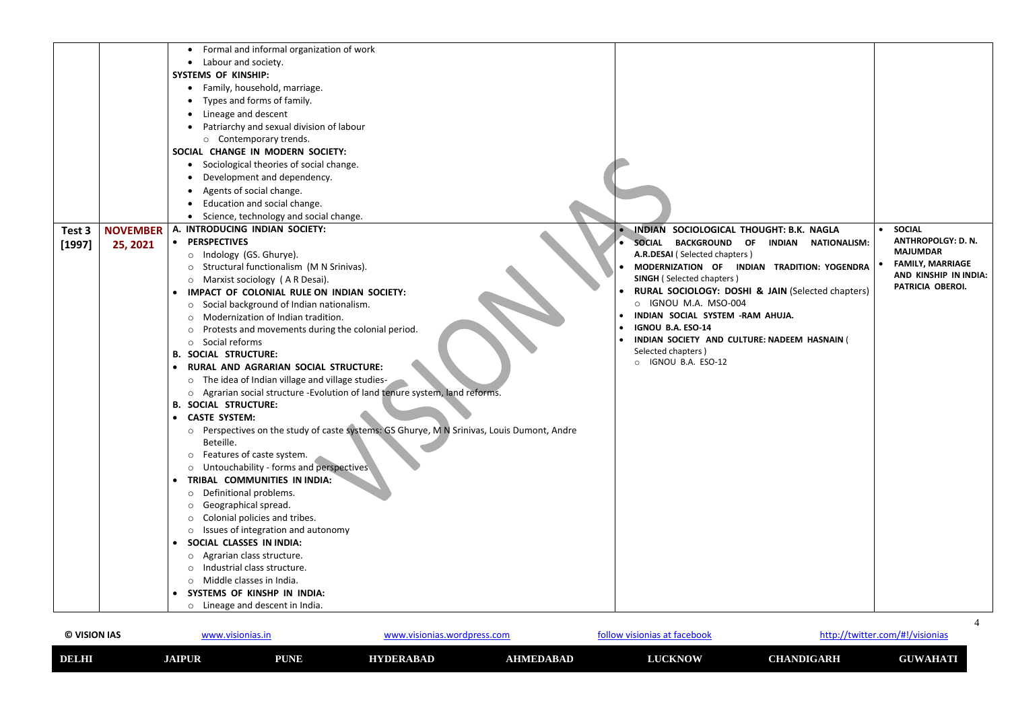| © VISION IAS | www.visionias.in |             | www.visionias.wordpress.com |           | http://twitter.com/#!/visionias<br>follow visionias at facebook |                   |                 |
|--------------|------------------|-------------|-----------------------------|-----------|-----------------------------------------------------------------|-------------------|-----------------|
| DELHI        | <b>JAIPUR</b>    | <b>PUNE</b> | HYDERABAD                   | AHMEDABAD | <b>LUCKNOW</b>                                                  | <b>CHANDIGARH</b> | <b>GUWAHATI</b> |

### **http://twitter.com/#!/visionias**

|                    | Formal and informal organization of work                                                            |                                                              |                           |
|--------------------|-----------------------------------------------------------------------------------------------------|--------------------------------------------------------------|---------------------------|
|                    | Labour and society.<br>$\bullet$                                                                    |                                                              |                           |
|                    | <b>SYSTEMS OF KINSHIP:</b>                                                                          |                                                              |                           |
|                    | Family, household, marriage.<br>$\bullet$                                                           |                                                              |                           |
|                    | Types and forms of family.<br>$\bullet$                                                             |                                                              |                           |
|                    | Lineage and descent<br>$\bullet$                                                                    |                                                              |                           |
|                    | Patriarchy and sexual division of labour                                                            |                                                              |                           |
|                    | o Contemporary trends.                                                                              |                                                              |                           |
|                    | SOCIAL CHANGE IN MODERN SOCIETY:                                                                    |                                                              |                           |
|                    | Sociological theories of social change.<br>$\bullet$                                                |                                                              |                           |
|                    | Development and dependency.                                                                         |                                                              |                           |
|                    | Agents of social change.<br>$\bullet$                                                               |                                                              |                           |
|                    | Education and social change.                                                                        |                                                              |                           |
|                    | Science, technology and social change.                                                              |                                                              |                           |
| <b>NOVEMBER</b>    | A. INTRODUCING INDIAN SOCIETY:                                                                      | INDIAN SOCIOLOGICAL THOUGHT: B.K. NAGLA                      | <b>SOCIAL</b>             |
| Test 3             | • PERSPECTIVES                                                                                      | <b>BACKGROUND OF</b><br><b>SOCIAL</b><br><b>NATIONALISM:</b> | <b>ANTHROPOLGY: D. N.</b> |
| [1997]<br>25, 2021 | Indology (GS. Ghurye).                                                                              | <b>INDIAN</b><br>A.R.DESAI (Selected chapters)               | <b>MAJUMDAR</b>           |
|                    | $\circ$<br>Structural functionalism (M N Srinivas).                                                 | MODERNIZATION OF INDIAN TRADITION: YOGENDRA                  | <b>FAMILY, MARRIAGE</b>   |
|                    | Marxist sociology (AR Desai).<br>$\circ$                                                            | <b>SINGH</b> (Selected chapters)                             | AND KINSHIP IN INDIA:     |
|                    | IMPACT OF COLONIAL RULE ON INDIAN SOCIETY:                                                          | RURAL SOCIOLOGY: DOSHI & JAIN (Selected chapters)            | PATRICIA OBEROI.          |
|                    | Social background of Indian nationalism.<br>$\circ$                                                 | O IGNOU M.A. MSO-004                                         |                           |
|                    | Modernization of Indian tradition.<br>$\circ$                                                       | INDIAN SOCIAL SYSTEM -RAM AHUJA.                             |                           |
|                    | Protests and movements during the colonial period.<br>$\circ$                                       | IGNOU B.A. ESO-14                                            |                           |
|                    | Social reforms<br>$\circ$                                                                           | INDIAN SOCIETY AND CULTURE: NADEEM HASNAIN (                 |                           |
|                    | <b>SOCIAL STRUCTURE:</b><br>В.                                                                      | Selected chapters)                                           |                           |
|                    | RURAL AND AGRARIAN SOCIAL STRUCTURE:                                                                | O IGNOU B.A. ESO-12                                          |                           |
|                    | The idea of Indian village and village studies-<br>$\circ$                                          |                                                              |                           |
|                    | o Agrarian social structure -Evolution of land tenure system, land reforms.                         |                                                              |                           |
|                    | <b>B. SOCIAL STRUCTURE:</b>                                                                         |                                                              |                           |
|                    | • CASTE SYSTEM:                                                                                     |                                                              |                           |
|                    | Perspectives on the study of caste systems: GS Ghurye, M N Srinivas, Louis Dumont, Andre<br>$\circ$ |                                                              |                           |
|                    | Beteille.                                                                                           |                                                              |                           |
|                    | Features of caste system.<br>$\circ$                                                                |                                                              |                           |
|                    | Untouchability - forms and perspectives<br>$\circ$                                                  |                                                              |                           |
|                    | TRIBAL COMMUNITIES IN INDIA:                                                                        |                                                              |                           |
|                    | Definitional problems.<br>$\circ$                                                                   |                                                              |                           |
|                    | Geographical spread.<br>$\circ$                                                                     |                                                              |                           |
|                    | Colonial policies and tribes.<br>$\circ$                                                            |                                                              |                           |
|                    | Issues of integration and autonomy<br>$\circ$                                                       |                                                              |                           |
|                    | SOCIAL CLASSES IN INDIA:                                                                            |                                                              |                           |
|                    | Agrarian class structure.<br>$\circ$                                                                |                                                              |                           |
|                    | Industrial class structure.<br>$\circ$                                                              |                                                              |                           |
|                    | Middle classes in India.<br>$\circ$                                                                 |                                                              |                           |
|                    | SYSTEMS OF KINSHP IN INDIA:                                                                         |                                                              |                           |
|                    | o Lineage and descent in India.                                                                     |                                                              |                           |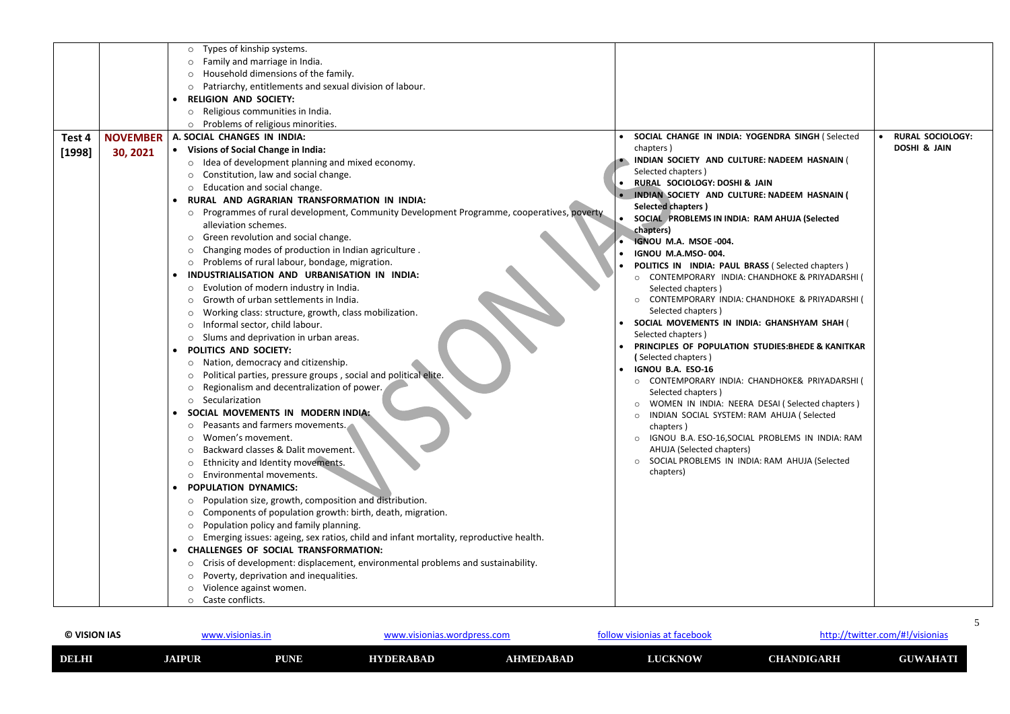| © VISION IAS | www.visionias.in |             | ww.visionias.wordpress.com_ |           | http://twitter.com/#!/visionias<br>, visionias at facebook<br>'OllC |                   |                 |
|--------------|------------------|-------------|-----------------------------|-----------|---------------------------------------------------------------------|-------------------|-----------------|
| DELHI        | <b>JAIPUR</b>    | <b>PUNE</b> | HYDERABAD                   | AHMEDABAD | <b>LUCKNOW</b>                                                      | <b>CHANDIGARH</b> | <b>GUWAHATI</b> |

### **http://twitter.com/#!/visionias**

|        |                 | Types of kinship systems.<br>$\circ$                                                               |                                                                    |                         |
|--------|-----------------|----------------------------------------------------------------------------------------------------|--------------------------------------------------------------------|-------------------------|
|        |                 | Family and marriage in India.                                                                      |                                                                    |                         |
|        |                 | Household dimensions of the family.<br>$\circ$                                                     |                                                                    |                         |
|        |                 | Patriarchy, entitlements and sexual division of labour.                                            |                                                                    |                         |
|        |                 | <b>RELIGION AND SOCIETY:</b>                                                                       |                                                                    |                         |
|        |                 | Religious communities in India.                                                                    |                                                                    |                         |
|        |                 | $\circ$<br>Problems of religious minorities.                                                       |                                                                    |                         |
|        |                 | A. SOCIAL CHANGES IN INDIA:                                                                        | SOCIAL CHANGE IN INDIA: YOGENDRA SINGH (Selected                   | <b>RURAL SOCIOLOGY:</b> |
| Test 4 | <b>NOVEMBER</b> |                                                                                                    | chapters)                                                          | <b>DOSHI &amp; JAIN</b> |
| [1998] | 30, 2021        | • Visions of Social Change in India:                                                               | INDIAN SOCIETY AND CULTURE: NADEEM HASNAIN (                       |                         |
|        |                 | Idea of development planning and mixed economy.<br>$\circ$                                         | Selected chapters)                                                 |                         |
|        |                 | Constitution, law and social change.<br>$\circ$                                                    | <b>RURAL SOCIOLOGY: DOSHI &amp; JAIN</b>                           |                         |
|        |                 | Education and social change.<br>$\circ$                                                            | INDIAN SOCIETY AND CULTURE: NADEEM HASNAIN (                       |                         |
|        |                 | RURAL AND AGRARIAN TRANSFORMATION IN INDIA:<br>$\bullet$                                           | <b>Selected chapters</b> )                                         |                         |
|        |                 | Programmes of rural development, Community Development Programme, cooperatives, poverty<br>$\circ$ | SOCIAL PROBLEMS IN INDIA: RAM AHUJA (Selected                      |                         |
|        |                 | alleviation schemes.                                                                               | chapters)                                                          |                         |
|        |                 | Green revolution and social change.<br>$\circ$                                                     | <b>IGNOU M.A. MSOE -004.</b>                                       |                         |
|        |                 | Changing modes of production in Indian agriculture.                                                | IGNOU M.A.MSO-004.                                                 |                         |
|        |                 | Problems of rural labour, bondage, migration.<br>$\circ$                                           | POLITICS IN INDIA: PAUL BRASS (Selected chapters)                  |                         |
|        |                 | INDUSTRIALISATION AND URBANISATION IN INDIA:                                                       | CONTEMPORARY INDIA: CHANDHOKE & PRIYADARSHI (<br>$\circ$           |                         |
|        |                 | Evolution of modern industry in India.<br>$\circ$                                                  | Selected chapters)                                                 |                         |
|        |                 | Growth of urban settlements in India.                                                              | CONTEMPORARY INDIA: CHANDHOKE & PRIYADARSHI (                      |                         |
|        |                 | Working class: structure, growth, class mobilization.                                              | Selected chapters)                                                 |                         |
|        |                 | Informal sector, child labour.<br>$\circ$                                                          | SOCIAL MOVEMENTS IN INDIA: GHANSHYAM SHAH (                        |                         |
|        |                 | $\circ$ Slums and deprivation in urban areas.                                                      | Selected chapters)                                                 |                         |
|        |                 | POLITICS AND SOCIETY:<br>$\bullet$                                                                 | PRINCIPLES OF POPULATION STUDIES: BHEDE & KANITKAR                 |                         |
|        |                 | Nation, democracy and citizenship.<br>$\circ$                                                      | (Selected chapters)                                                |                         |
|        |                 | Political parties, pressure groups, social and political elite.<br>$\circ$                         | IGNOU B.A. ESO-16                                                  |                         |
|        |                 | Regionalism and decentralization of power.                                                         | CONTEMPORARY INDIA: CHANDHOKE& PRIYADARSHI (<br>Selected chapters) |                         |
|        |                 | Secularization<br>$\circ$                                                                          | WOMEN IN INDIA: NEERA DESAI (Selected chapters)                    |                         |
|        |                 | SOCIAL MOVEMENTS IN MODERN INDIA:                                                                  | INDIAN SOCIAL SYSTEM: RAM AHUJA ( Selected<br>$\circ$              |                         |
|        |                 | Peasants and farmers movements.<br>$\circ$                                                         | chapters)                                                          |                         |
|        |                 | Women's movement.<br>$\circ$                                                                       | IGNOU B.A. ESO-16, SOCIAL PROBLEMS IN INDIA: RAM<br>$\circ$        |                         |
|        |                 | Backward classes & Dalit movement.<br>$\circ$                                                      | AHUJA (Selected chapters)                                          |                         |
|        |                 | Ethnicity and Identity movements.<br>$\circ$                                                       | SOCIAL PROBLEMS IN INDIA: RAM AHUJA (Selected<br>$\circ$           |                         |
|        |                 | Environmental movements.<br>$\circ$                                                                | chapters)                                                          |                         |
|        |                 | <b>POPULATION DYNAMICS:</b>                                                                        |                                                                    |                         |
|        |                 | Population size, growth, composition and distribution.<br>$\circ$                                  |                                                                    |                         |
|        |                 | Components of population growth: birth, death, migration.<br>$\circ$                               |                                                                    |                         |
|        |                 | Population policy and family planning.<br>$\circ$                                                  |                                                                    |                         |
|        |                 | Emerging issues: ageing, sex ratios, child and infant mortality, reproductive health.<br>$\circ$   |                                                                    |                         |
|        |                 | <b>CHALLENGES OF SOCIAL TRANSFORMATION:</b><br>$\bullet$                                           |                                                                    |                         |
|        |                 | Crisis of development: displacement, environmental problems and sustainability.                    |                                                                    |                         |
|        |                 | $\circ$                                                                                            |                                                                    |                         |
|        |                 | Poverty, deprivation and inequalities.<br>$\circ$                                                  |                                                                    |                         |
|        |                 | Violence against women.<br>$\circ$                                                                 |                                                                    |                         |
|        |                 | o Caste conflicts.                                                                                 |                                                                    |                         |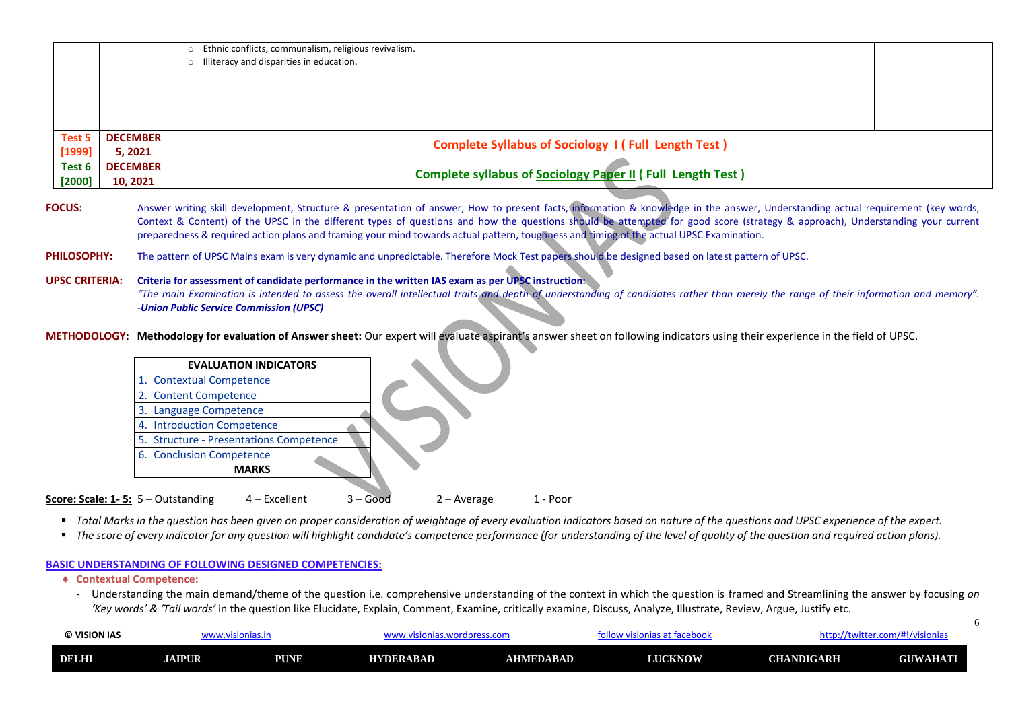| © VISION IAS<br>www.visionias.in |               |             | .visionias.wordpress.com |                  | http://twitter.com/#!/visionias<br>isionias at facebool |                   |                 |
|----------------------------------|---------------|-------------|--------------------------|------------------|---------------------------------------------------------|-------------------|-----------------|
| <b>DELHI</b>                     | <b>JAIPUR</b> | <b>PUNE</b> | <b>HYDERABAD</b>         | <b>AHMEDABAD</b> | <b>LUCKNOW</b>                                          | <b>CHANDIGARH</b> | <b>GUWAHATI</b> |

|                    |                             | o Ethnic conflicts, communalism, religious revivalism.<br>o Illiteracy and disparities in education. |  |
|--------------------|-----------------------------|------------------------------------------------------------------------------------------------------|--|
| Test 5<br>$[1999]$ | <b>DECEMBER</b><br>5, 2021  | <b>Complete Syllabus of Sociology 1 (Full Length Test)</b>                                           |  |
| Test 6<br>$[2000]$ | <b>DECEMBER</b><br>10, 2021 | <b>Complete syllabus of Sociology Paper II (Full Length Test)</b>                                    |  |

FOCUS: Answer writing skill development, Structure & presentation of answer, How to present facts, information & knowledge in the answer, Understanding actual requirement (key words, Context & Content) of the UPSC in the different types of questions and how the questions should be attempted for good score (strategy & approach), Understanding your current preparedness & required action plans and framing your mind towards actual pattern, toughness and timing of the actual UPSC Examination.

#### PHILOSOPHY: The pattern of UPSC Mains exam is very dynamic and unpredictable. Therefore Mock Test papers should be designed based on latest pattern of UPSC.

**UPSC CRITERIA: Criteria for assessment of candidate performance in the written IAS exam as per UPSC instruction:**  "The main Examination is intended to assess the overall intellectual traits and depth of understanding of candidates rather than merely the range of their information and memory". *-Union Public Service Commission (UPSC)*

**METHODOLOGY: Methodology for evaluation of Answer sheet:** Our expert will evaluate aspirant's answer sheet on following indicators using their experience in the field of UPSC.



- Total Marks in the question has been given on proper consideration of weightage of every evaluation indicators based on nature of the questions and UPSC experience of the expert.
- The score of every indicator for any question will highlight candidate's competence performance (for understanding of the level of quality of the question and required action plans).

### **BASIC UNDERSTANDING OF FOLLOWING DESIGNED COMPETENCIES:**

- **Contextual Competence:**
	- Understanding the main demand/theme of the question i.e. comprehensive understanding of the context in which the question is framed and Streamlining the answer by focusing *on 'Key words' & 'Tail words'* in the question like Elucidate, Explain, Comment, Examine, critically examine, Discuss, Analyze, Illustrate, Review, Argue, Justify etc.